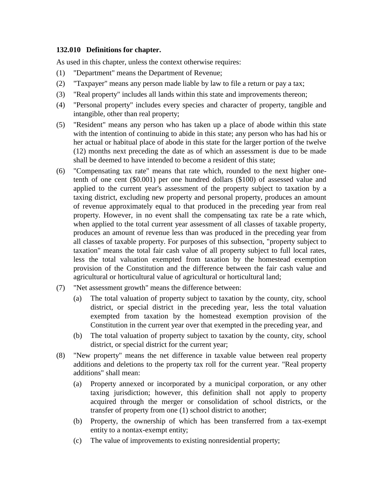## **132.010 Definitions for chapter.**

As used in this chapter, unless the context otherwise requires:

- (1) "Department" means the Department of Revenue;
- (2) "Taxpayer" means any person made liable by law to file a return or pay a tax;
- (3) "Real property" includes all lands within this state and improvements thereon;
- (4) "Personal property" includes every species and character of property, tangible and intangible, other than real property;
- (5) "Resident" means any person who has taken up a place of abode within this state with the intention of continuing to abide in this state; any person who has had his or her actual or habitual place of abode in this state for the larger portion of the twelve (12) months next preceding the date as of which an assessment is due to be made shall be deemed to have intended to become a resident of this state;
- (6) "Compensating tax rate" means that rate which, rounded to the next higher onetenth of one cent (\$0.001) per one hundred dollars (\$100) of assessed value and applied to the current year's assessment of the property subject to taxation by a taxing district, excluding new property and personal property, produces an amount of revenue approximately equal to that produced in the preceding year from real property. However, in no event shall the compensating tax rate be a rate which, when applied to the total current year assessment of all classes of taxable property, produces an amount of revenue less than was produced in the preceding year from all classes of taxable property. For purposes of this subsection, "property subject to taxation" means the total fair cash value of all property subject to full local rates, less the total valuation exempted from taxation by the homestead exemption provision of the Constitution and the difference between the fair cash value and agricultural or horticultural value of agricultural or horticultural land;
- (7) "Net assessment growth" means the difference between:
	- (a) The total valuation of property subject to taxation by the county, city, school district, or special district in the preceding year, less the total valuation exempted from taxation by the homestead exemption provision of the Constitution in the current year over that exempted in the preceding year, and
	- (b) The total valuation of property subject to taxation by the county, city, school district, or special district for the current year;
- (8) "New property" means the net difference in taxable value between real property additions and deletions to the property tax roll for the current year. "Real property additions" shall mean:
	- (a) Property annexed or incorporated by a municipal corporation, or any other taxing jurisdiction; however, this definition shall not apply to property acquired through the merger or consolidation of school districts, or the transfer of property from one (1) school district to another;
	- (b) Property, the ownership of which has been transferred from a tax-exempt entity to a nontax-exempt entity;
	- (c) The value of improvements to existing nonresidential property;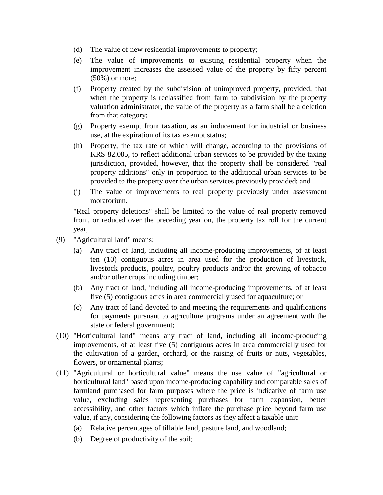- (d) The value of new residential improvements to property;
- (e) The value of improvements to existing residential property when the improvement increases the assessed value of the property by fifty percent (50%) or more;
- (f) Property created by the subdivision of unimproved property, provided, that when the property is reclassified from farm to subdivision by the property valuation administrator, the value of the property as a farm shall be a deletion from that category;
- (g) Property exempt from taxation, as an inducement for industrial or business use, at the expiration of its tax exempt status;
- (h) Property, the tax rate of which will change, according to the provisions of KRS 82.085, to reflect additional urban services to be provided by the taxing jurisdiction, provided, however, that the property shall be considered "real property additions" only in proportion to the additional urban services to be provided to the property over the urban services previously provided; and
- (i) The value of improvements to real property previously under assessment moratorium.

"Real property deletions" shall be limited to the value of real property removed from, or reduced over the preceding year on, the property tax roll for the current year;

- (9) "Agricultural land" means:
	- (a) Any tract of land, including all income-producing improvements, of at least ten (10) contiguous acres in area used for the production of livestock, livestock products, poultry, poultry products and/or the growing of tobacco and/or other crops including timber;
	- (b) Any tract of land, including all income-producing improvements, of at least five (5) contiguous acres in area commercially used for aquaculture; or
	- (c) Any tract of land devoted to and meeting the requirements and qualifications for payments pursuant to agriculture programs under an agreement with the state or federal government;
- (10) "Horticultural land" means any tract of land, including all income-producing improvements, of at least five (5) contiguous acres in area commercially used for the cultivation of a garden, orchard, or the raising of fruits or nuts, vegetables, flowers, or ornamental plants;
- (11) "Agricultural or horticultural value" means the use value of "agricultural or horticultural land" based upon income-producing capability and comparable sales of farmland purchased for farm purposes where the price is indicative of farm use value, excluding sales representing purchases for farm expansion, better accessibility, and other factors which inflate the purchase price beyond farm use value, if any, considering the following factors as they affect a taxable unit:
	- (a) Relative percentages of tillable land, pasture land, and woodland;
	- (b) Degree of productivity of the soil;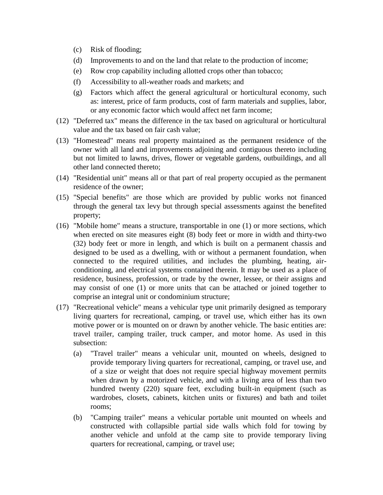- (c) Risk of flooding;
- (d) Improvements to and on the land that relate to the production of income;
- (e) Row crop capability including allotted crops other than tobacco;
- (f) Accessibility to all-weather roads and markets; and
- (g) Factors which affect the general agricultural or horticultural economy, such as: interest, price of farm products, cost of farm materials and supplies, labor, or any economic factor which would affect net farm income;
- (12) "Deferred tax" means the difference in the tax based on agricultural or horticultural value and the tax based on fair cash value;
- (13) "Homestead" means real property maintained as the permanent residence of the owner with all land and improvements adjoining and contiguous thereto including but not limited to lawns, drives, flower or vegetable gardens, outbuildings, and all other land connected thereto;
- (14) "Residential unit" means all or that part of real property occupied as the permanent residence of the owner;
- (15) "Special benefits" are those which are provided by public works not financed through the general tax levy but through special assessments against the benefited property;
- (16) "Mobile home" means a structure, transportable in one (1) or more sections, which when erected on site measures eight (8) body feet or more in width and thirty-two (32) body feet or more in length, and which is built on a permanent chassis and designed to be used as a dwelling, with or without a permanent foundation, when connected to the required utilities, and includes the plumbing, heating, airconditioning, and electrical systems contained therein. It may be used as a place of residence, business, profession, or trade by the owner, lessee, or their assigns and may consist of one (1) or more units that can be attached or joined together to comprise an integral unit or condominium structure;
- (17) "Recreational vehicle" means a vehicular type unit primarily designed as temporary living quarters for recreational, camping, or travel use, which either has its own motive power or is mounted on or drawn by another vehicle. The basic entities are: travel trailer, camping trailer, truck camper, and motor home. As used in this subsection:
	- (a) "Travel trailer" means a vehicular unit, mounted on wheels, designed to provide temporary living quarters for recreational, camping, or travel use, and of a size or weight that does not require special highway movement permits when drawn by a motorized vehicle, and with a living area of less than two hundred twenty (220) square feet, excluding built-in equipment (such as wardrobes, closets, cabinets, kitchen units or fixtures) and bath and toilet rooms;
	- (b) "Camping trailer" means a vehicular portable unit mounted on wheels and constructed with collapsible partial side walls which fold for towing by another vehicle and unfold at the camp site to provide temporary living quarters for recreational, camping, or travel use;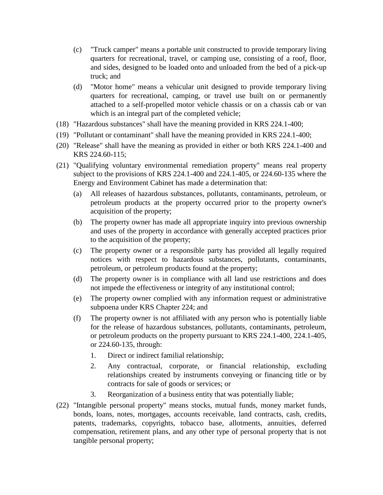- (c) "Truck camper" means a portable unit constructed to provide temporary living quarters for recreational, travel, or camping use, consisting of a roof, floor, and sides, designed to be loaded onto and unloaded from the bed of a pick-up truck; and
- (d) "Motor home" means a vehicular unit designed to provide temporary living quarters for recreational, camping, or travel use built on or permanently attached to a self-propelled motor vehicle chassis or on a chassis cab or van which is an integral part of the completed vehicle;
- (18) "Hazardous substances" shall have the meaning provided in KRS 224.1-400;
- (19) "Pollutant or contaminant" shall have the meaning provided in KRS 224.1-400;
- (20) "Release" shall have the meaning as provided in either or both KRS 224.1-400 and KRS 224.60-115;
- (21) "Qualifying voluntary environmental remediation property" means real property subject to the provisions of KRS 224.1-400 and 224.1-405, or 224.60-135 where the Energy and Environment Cabinet has made a determination that:
	- (a) All releases of hazardous substances, pollutants, contaminants, petroleum, or petroleum products at the property occurred prior to the property owner's acquisition of the property;
	- (b) The property owner has made all appropriate inquiry into previous ownership and uses of the property in accordance with generally accepted practices prior to the acquisition of the property;
	- (c) The property owner or a responsible party has provided all legally required notices with respect to hazardous substances, pollutants, contaminants, petroleum, or petroleum products found at the property;
	- (d) The property owner is in compliance with all land use restrictions and does not impede the effectiveness or integrity of any institutional control;
	- (e) The property owner complied with any information request or administrative subpoena under KRS Chapter 224; and
	- (f) The property owner is not affiliated with any person who is potentially liable for the release of hazardous substances, pollutants, contaminants, petroleum, or petroleum products on the property pursuant to KRS 224.1-400, 224.1-405, or 224.60-135, through:
		- 1. Direct or indirect familial relationship;
		- 2. Any contractual, corporate, or financial relationship, excluding relationships created by instruments conveying or financing title or by contracts for sale of goods or services; or
		- 3. Reorganization of a business entity that was potentially liable;
- (22) "Intangible personal property" means stocks, mutual funds, money market funds, bonds, loans, notes, mortgages, accounts receivable, land contracts, cash, credits, patents, trademarks, copyrights, tobacco base, allotments, annuities, deferred compensation, retirement plans, and any other type of personal property that is not tangible personal property;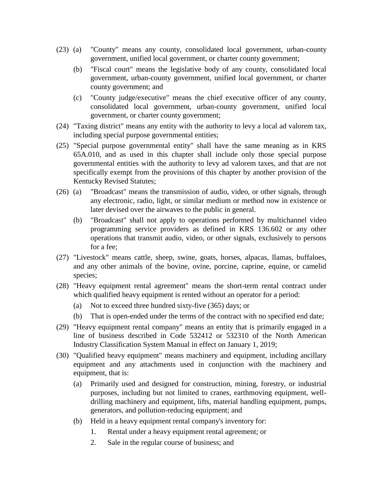- (23) (a) "County" means any county, consolidated local government, urban-county government, unified local government, or charter county government;
	- (b) "Fiscal court" means the legislative body of any county, consolidated local government, urban-county government, unified local government, or charter county government; and
	- (c) "County judge/executive" means the chief executive officer of any county, consolidated local government, urban-county government, unified local government, or charter county government;
- (24) "Taxing district" means any entity with the authority to levy a local ad valorem tax, including special purpose governmental entities;
- (25) "Special purpose governmental entity" shall have the same meaning as in KRS 65A.010, and as used in this chapter shall include only those special purpose governmental entities with the authority to levy ad valorem taxes, and that are not specifically exempt from the provisions of this chapter by another provision of the Kentucky Revised Statutes;
- (26) (a) "Broadcast" means the transmission of audio, video, or other signals, through any electronic, radio, light, or similar medium or method now in existence or later devised over the airwaves to the public in general.
	- (b) "Broadcast" shall not apply to operations performed by multichannel video programming service providers as defined in KRS 136.602 or any other operations that transmit audio, video, or other signals, exclusively to persons for a fee;
- (27) "Livestock" means cattle, sheep, swine, goats, horses, alpacas, llamas, buffaloes, and any other animals of the bovine, ovine, porcine, caprine, equine, or camelid species;
- (28) "Heavy equipment rental agreement" means the short-term rental contract under which qualified heavy equipment is rented without an operator for a period:
	- (a) Not to exceed three hundred sixty-five (365) days; or
	- (b) That is open-ended under the terms of the contract with no specified end date;
- (29) "Heavy equipment rental company" means an entity that is primarily engaged in a line of business described in Code 532412 or 532310 of the North American Industry Classification System Manual in effect on January 1, 2019;
- (30) "Qualified heavy equipment" means machinery and equipment, including ancillary equipment and any attachments used in conjunction with the machinery and equipment, that is:
	- (a) Primarily used and designed for construction, mining, forestry, or industrial purposes, including but not limited to cranes, earthmoving equipment, welldrilling machinery and equipment, lifts, material handling equipment, pumps, generators, and pollution-reducing equipment; and
	- (b) Held in a heavy equipment rental company's inventory for:
		- 1. Rental under a heavy equipment rental agreement; or
		- 2. Sale in the regular course of business; and